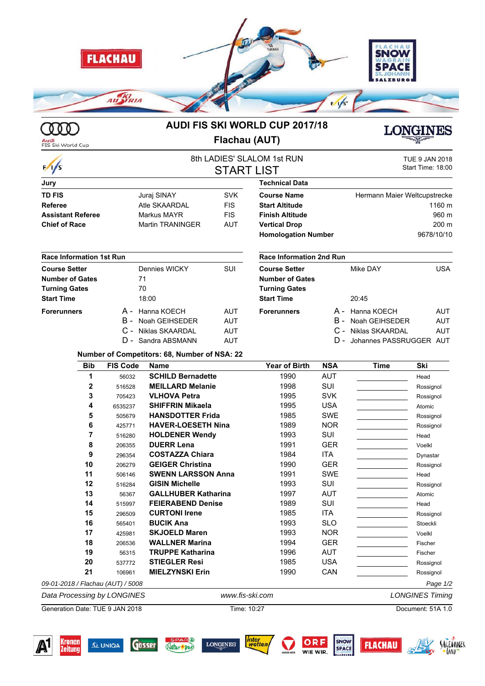

000

**Audi**<br>FIS Ski World Cup

## **AUDI FIS SKI WORLD CUP 2017/18 Flachau (AUT)**



## 8th LADIES' SLALOM 1st RUN TUE 9 JAN 2018<br>
CTA DT I ICT Start Time: 18:00 **START LIST Jury TD FIS** Juraj SINAY SVK **Referee** Atle SKAARDAL FIS **Assistant Referee** Markus MAYR FIS **Chief of Race** Martin TRANINGER AUT **Technical Data Course Name** Hermann Maier Weltcupstrecke **Start Altitude** 1160 m **Finish Altitude** 960 m **Vertical Drop** 200 m Homologation Number<br>
9678/10/10 **Race Information 1st Run Course Setter** Dennies WICKY SUI **Number of Gates** 71 **Turning Gates** 70 **Start Time** 18:00 **Forerunners** A - Hanna KOECH AUT B - Noah GEIHSEDER AUT C - Niklas SKAARDAL AUT D - Sandra ABSMANN AUT **Race Information 2nd Run Course Setter** Mike DAY USA **Number of Gates Turning Gates Start Time** 20:45 **Forerunners** A - Hanna KOECH AUT B - Noah GEIHSEDER AUT C - Niklas SKAARDAL AUT D - Johannes PASSRUGGER AUT **Number of Competitors: 68, Number of NSA: 22**

| <b>Bib</b>                        | <b>FIS Code</b> | <b>Name</b>                | <b>Year of Birth</b> | <b>NSA</b> | Time | Ski       |
|-----------------------------------|-----------------|----------------------------|----------------------|------------|------|-----------|
|                                   | 56032           | <b>SCHILD Bernadette</b>   | 1990                 | <b>AUT</b> |      | Head      |
| $\mathbf{2}$                      | 516528          | <b>MEILLARD Melanie</b>    | 1998                 | SUI        |      | Rossignol |
| 3                                 | 705423          | <b>VLHOVA Petra</b>        | 1995                 | <b>SVK</b> |      | Rossignol |
| 4                                 | 6535237         | <b>SHIFFRIN Mikaela</b>    | 1995                 | <b>USA</b> |      | Atomic    |
| 5                                 | 505679          | <b>HANSDOTTER Frida</b>    | 1985                 | SWE        |      | Rossignol |
| 6                                 | 425771          | <b>HAVER-LOESETH Nina</b>  | 1989                 | <b>NOR</b> |      | Rossignol |
|                                   | 516280          | <b>HOLDENER Wendy</b>      | 1993                 | SUI        |      | Head      |
| 8                                 | 206355          | <b>DUERR Lena</b>          | 1991                 | <b>GER</b> |      | Voelkl    |
| 9                                 | 296354          | <b>COSTAZZA Chiara</b>     | 1984                 | ITA        |      | Dynastar  |
| 10                                | 206279          | <b>GEIGER Christina</b>    | 1990                 | <b>GER</b> |      | Rossignol |
| 11                                | 506146          | <b>SWENN LARSSON Anna</b>  | 1991                 | <b>SWE</b> |      | Head      |
| 12                                | 516284          | <b>GISIN Michelle</b>      | 1993                 | <b>SUI</b> |      | Rossignol |
| 13                                | 56367           | <b>GALLHUBER Katharina</b> | 1997                 | <b>AUT</b> |      | Atomic    |
| 14                                | 515997          | <b>FEIERABEND Denise</b>   | 1989                 | SUI        |      | Head      |
| 15                                | 296509          | <b>CURTONI Irene</b>       | 1985                 | ITA        |      | Rossignol |
| 16                                | 565401          | <b>BUCIK Ana</b>           | 1993                 | <b>SLO</b> |      | Stoeckli  |
| 17                                | 425981          | <b>SKJOELD Maren</b>       | 1993                 | <b>NOR</b> |      | Voelkl    |
| 18                                | 206536          | <b>WALLNER Marina</b>      | 1994                 | <b>GER</b> |      | Fischer   |
| 19                                | 56315           | <b>TRUPPE Katharina</b>    | 1996                 | <b>AUT</b> |      | Fischer   |
| 20                                | 537772          | <b>STIEGLER Resi</b>       | 1985                 | <b>USA</b> |      | Rossignol |
| 21                                | 106961          | <b>MIELZYNSKI Erin</b>     | 1990                 | CAN        |      | Rossignol |
| 09-01-2018 / Flachau (AUT) / 5008 |                 |                            |                      |            |      | Page 1/2  |

*Data Processing by LONGINES www.fis-ski.com LONGINES Timing*

Natur **Cou** 

Gösser

Generation Date: TUE 9 JAN 2018 Time: 10:27 Document: 51A 1.0

**Q UNIQA** 

**LONGINES** 

inter<br>wetten